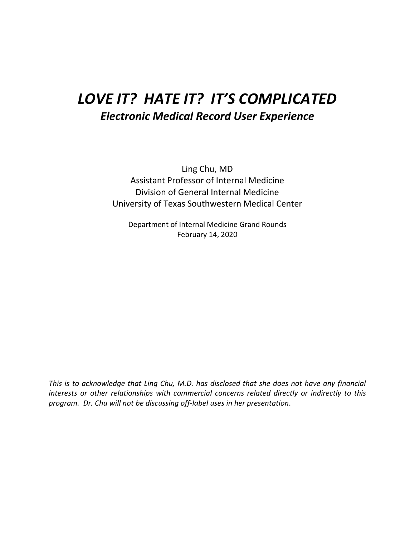# *LOVE IT? HATE IT? IT'S COMPLICATED Electronic Medical Record User Experience*

Ling Chu, MD Assistant Professor of Internal Medicine Division of General Internal Medicine University of Texas Southwestern Medical Center

Department of Internal Medicine Grand Rounds February 14, 2020

*This is to acknowledge that Ling Chu, M.D. has disclosed that she does not have any financial interests or other relationships with commercial concerns related directly or indirectly to this program. Dr. Chu will not be discussing off-label uses in her presentation*.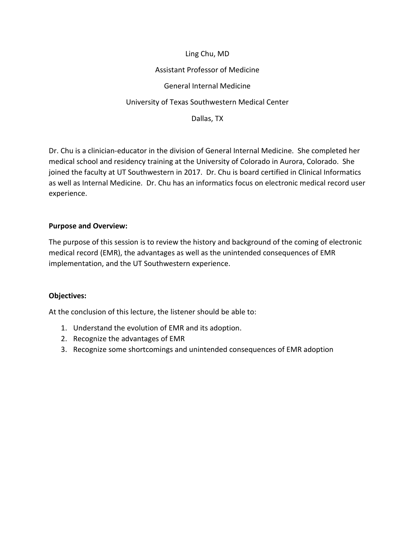## Ling Chu, MD Assistant Professor of Medicine General Internal Medicine University of Texas Southwestern Medical Center Dallas, TX

Dr. Chu is a clinician-educator in the division of General Internal Medicine. She completed her medical school and residency training at the University of Colorado in Aurora, Colorado. She joined the faculty at UT Southwestern in 2017. Dr. Chu is board certified in Clinical Informatics as well as Internal Medicine. Dr. Chu has an informatics focus on electronic medical record user experience.

## **Purpose and Overview:**

The purpose of this session is to review the history and background of the coming of electronic medical record (EMR), the advantages as well as the unintended consequences of EMR implementation, and the UT Southwestern experience.

#### **Objectives:**

At the conclusion of this lecture, the listener should be able to:

- 1. Understand the evolution of EMR and its adoption.
- 2. Recognize the advantages of EMR
- 3. Recognize some shortcomings and unintended consequences of EMR adoption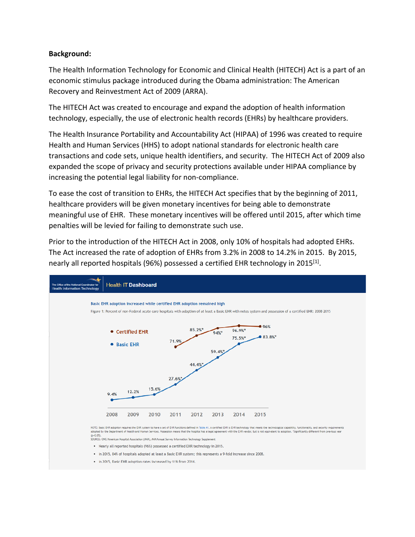#### **Background:**

The Health Information Technology for Economic and Clinical Health (HITECH) Act is a part of an economic stimulus package introduced during the Obama administration: The American Recovery and Reinvestment Act of 2009 (ARRA).

The HITECH Act was created to encourage and expand the adoption of health information technology, especially, the use of electronic health records (EHRs) by healthcare providers.

The Health Insurance Portability and Accountability Act (HIPAA) of 1996 was created to require Health and Human Services (HHS) to adopt national standards for electronic health care transactions and code sets, unique health identifiers, and security. The HITECH Act of 2009 also expanded the scope of privacy and security protections available under HIPAA compliance by increasing the potential legal liability for non-compliance.

To ease the cost of transition to EHRs, the HITECH Act specifies that by the beginning of 2011, healthcare providers will be given monetary incentives for being able to demonstrate meaningful use of EHR. These monetary incentives will be offered until 2015, after which time penalties will be levied for failing to demonstrate such use.

Prior to the introduction of the HITECH Act in 2008, only 10% of hospitals had adopted EHRs. The Act increased the rate of adoption of EHRs from 3.2% in 2008 to 14.2% in 2015. By 2015, nearly all reported hospitals (96%) possessed a certified EHR technology in 2015<sup>[1]</sup>.



- . Nearly all reported hospitals (96%) possessed a certified EHR technology in 2015.
- . In 2015, 84% of hospitals adopted at least a Basic EHR system; this represents a 9-fold increase since 2008.
- . In 2015, Basic EHR adoption rates increased by 11% from 2014.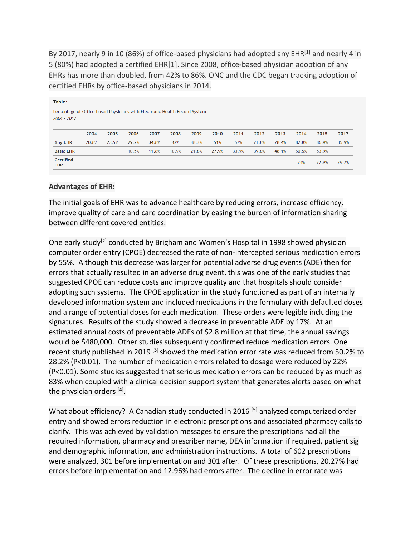By 2017, nearly 9 in 10 (86%) of office-based physicians had adopted any  $EHR^{[1]}$  and nearly 4 in 5 (80%) had adopted a certified EHR[1]. Since 2008, office-based physician adoption of any EHRs has more than doubled, from 42% to 86%. ONC and the CDC began tracking adoption of certified EHRs by office-based physicians in 2014.

| Table:                                                                                    |               |       |               |       |       |       |       |       |       |       |       |       |               |
|-------------------------------------------------------------------------------------------|---------------|-------|---------------|-------|-------|-------|-------|-------|-------|-------|-------|-------|---------------|
| Percentage of Office-based Physicians with Electronic Health Record System<br>2004 - 2017 |               |       |               |       |       |       |       |       |       |       |       |       |               |
|                                                                                           | 2004          | 2005  | 2006          | 2007  | 2008  | 2009  | 2010  | 2011  | 2012  | 2013  | 2014  | 2015  | 2017          |
| <b>Any EHR</b>                                                                            | 20.8%         | 23.9% | 29.2%         | 34.8% | 42%   | 48.3% | 51%   | 57%   | 71.8% | 78.4% | 82.8% | 86.9% | 85.9%         |
| <b>Basic EHR</b>                                                                          | $\sim$ $\sim$ | --    | 10.5%         | 11.8% | 16.9% | 21.8% | 27.9% | 33.9% | 39.6% | 48.1% | 50.5% | 53.9% | $\sim$ $\sim$ |
| <b>Certified</b><br><b>EHR</b>                                                            | $\sim$ $\sim$ | --    | $\sim$ $\sim$ | $-1$  | $- -$ | --    | $- -$ | $- -$ | $- -$ | $- -$ | 74%   | 77.9% | 79.7%         |

#### **Advantages of EHR:**

The initial goals of EHR was to advance healthcare by reducing errors, increase efficiency, improve quality of care and care coordination by easing the burden of information sharing between different covered entities.

One early study<sup>[2]</sup> conducted by Brigham and Women's Hospital in 1998 showed physician computer order entry (CPOE) decreased the rate of non-intercepted serious medication errors by 55%. Although this decrease was larger for potential adverse drug events (ADE) then for errors that actually resulted in an adverse drug event, this was one of the early studies that suggested CPOE can reduce costs and improve quality and that hospitals should consider adopting such systems. The CPOE application in the study functioned as part of an internally developed information system and included medications in the formulary with defaulted doses and a range of potential doses for each medication. These orders were legible including the signatures. Results of the study showed a decrease in preventable ADE by 17%. At an estimated annual costs of preventable ADEs of \$2.8 million at that time, the annual savings would be \$480,000. Other studies subsequently confirmed reduce medication errors. One recent study published in 2019 <sup>[3]</sup> showed the medication error rate was reduced from 50.2% to 28.2% (P<0.01). The number of medication errors related to dosage were reduced by 22% (P<0.01). Some studies suggested that serious medication errors can be reduced by as much as 83% when coupled with a clinical decision support system that generates alerts based on what the physician orders [4].

What about efficiency? A Canadian study conducted in 2016<sup>[5]</sup> analyzed computerized order entry and showed errors reduction in electronic prescriptions and associated pharmacy calls to clarify. This was achieved by validation messages to ensure the prescriptions had all the required information, pharmacy and prescriber name, DEA information if required, patient sig and demographic information, and administration instructions. A total of 602 prescriptions were analyzed, 301 before implementation and 301 after. Of these prescriptions, 20.27% had errors before implementation and 12.96% had errors after. The decline in error rate was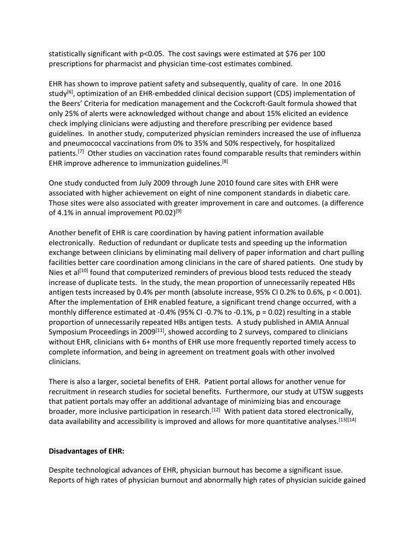statistically significant with p<0.05. The cost savings were estimated at \$76 per 100 prescriptions for pharmacist and physician time-cost estimates combined.

EHR has shown to improve patient safety and subsequently, quality of care. In one 2016 study<sup>[6]</sup>, optimization of an EHR-embedded clinical decision support (CDS) implementation of the Beers' Criteria for medication management and the Cockcroft-Gault formula showed that only 25% of alerts were acknowledged without change and about 15% elicited an evidence check implying clinicians were adjusting and therefore prescribing per evidence based guidelines. In another study, computerized physician reminders increased the use of influenza and pneumococcal vaccinations from 0% to 35% and 50% respectively, for hospitalized patients.<sup>[7]</sup> Other studies on vaccination rates found comparable results that reminders within EHR improve adherence to immunization guidelines.<sup>[8]</sup>

One study conducted from July 2009 through June 2010 found care sites with EHR were associated with higher achievement on eight of nine component standards in diabetic care. Those sites were also associated with greater improvement in care and outcomes. (a difference of 4.1% in annual improvement P0.02)<sup>[9]</sup>

Another benefit of EHR is care coordination by having patient information available electronically. Reduction of redundant or duplicate tests and speeding up the information exchange between clinicians by eliminating mail delivery of paper information and chart pulling facilities better care coordination among clinicians in the care of shared patients. One study by Nies et al<sup>[10]</sup> found that computerized reminders of previous blood tests reduced the steady increase of duplicate tests. In the study, the mean proportion of unnecessarily repeated HBs antigen tests increased by 0.4% per month (absolute increase, 95% CI 0.2% to 0.6%, p < 0.001). After the implementation of EHR enabled feature, a significant trend change occurred, with a monthly difference estimated at -0.4% (95% CI -0.7% to -0.1%, p = 0.02) resulting in a stable proportion of unnecessarily repeated HBs antigen tests. A study published in AMIA Annual Symposium Proceedings in 2009<sup>[11]</sup>, showed according to 2 surveys, compared to clinicians without EHR, clinicians with 6+ months of EHR use more frequently reported timely access to complete information, and being in agreement on treatment goals with other involved clinicians.

There is also a larger, societal benefits of EHR. Patient portal allows for another venue for recruitment in research studies for societal benefits. Furthermore, our study at UTSW suggests that patient portals may offer an additional advantage of minimizing bias and encourage broader, more inclusive participation in research.<sup>[12]</sup> With patient data stored electronically, data availability and accessibility is improved and allows for more quantitative analyses.<sup>[13][14]</sup>

#### **Disadvantages of EHR:**

Despite technological advances of EHR, physician burnout has become a significant issue. Reports of high rates of physician burnout and abnormally high rates of physician suicide gained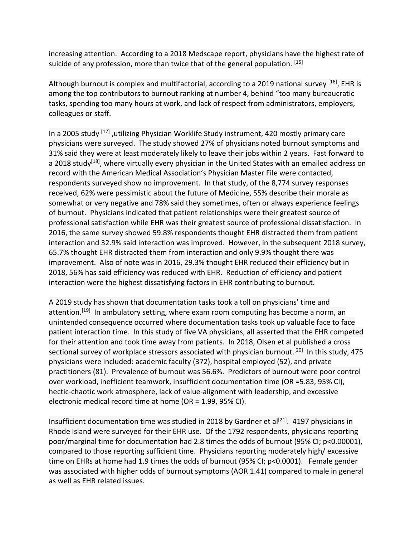increasing attention. According to a 2018 Medscape report, physicians have the highest rate of suicide of any profession, more than twice that of the general population. [15]

Although burnout is complex and multifactorial, according to a 2019 national survey <sup>[16]</sup>, EHR is among the top contributors to burnout ranking at number 4, behind "too many bureaucratic tasks, spending too many hours at work, and lack of respect from administrators, employers, colleagues or staff.

In a 2005 study <sup>[17]</sup>, utilizing Physician Worklife Study instrument, 420 mostly primary care physicians were surveyed. The study showed 27% of physicians noted burnout symptoms and 31% said they were at least moderately likely to leave their jobs within 2 years. Fast forward to a 2018 study<sup>[18]</sup>, where virtually every physician in the United States with an emailed address on record with the American Medical Association's Physician Master File were contacted, respondents surveyed show no improvement. In that study, of the 8,774 survey responses received, 62% were pessimistic about the future of Medicine, 55% describe their morale as somewhat or very negative and 78% said they sometimes, often or always experience feelings of burnout. Physicians indicated that patient relationships were their greatest source of professional satisfaction while EHR was their greatest source of professional dissatisfaction. In 2016, the same survey showed 59.8% respondents thought EHR distracted them from patient interaction and 32.9% said interaction was improved. However, in the subsequent 2018 survey, 65.7% thought EHR distracted them from interaction and only 9.9% thought there was improvement. Also of note was in 2016, 29.3% thought EHR reduced their efficiency but in 2018, 56% has said efficiency was reduced with EHR. Reduction of efficiency and patient interaction were the highest dissatisfying factors in EHR contributing to burnout.

A 2019 study has shown that documentation tasks took a toll on physicians' time and attention.<sup>[19]</sup> In ambulatory setting, where exam room computing has become a norm, an unintended consequence occurred where documentation tasks took up valuable face to face patient interaction time. In this study of five VA physicians, all asserted that the EHR competed for their attention and took time away from patients. In 2018, Olsen et al published a cross sectional survey of workplace stressors associated with physician burnout.<sup>[20]</sup> In this study, 475 physicians were included: academic faculty (372), hospital employed (52), and private practitioners (81). Prevalence of burnout was 56.6%. Predictors of burnout were poor control over workload, inefficient teamwork, insufficient documentation time (OR =5.83, 95% CI), hectic-chaotic work atmosphere, lack of value-alignment with leadership, and excessive electronic medical record time at home (OR = 1.99, 95% CI).

Insufficient documentation time was studied in 2018 by Gardner et al<sup>[21]</sup>. 4197 physicians in Rhode Island were surveyed for their EHR use. Of the 1792 respondents, physicians reporting poor/marginal time for documentation had 2.8 times the odds of burnout (95% CI; p<0.00001), compared to those reporting sufficient time. Physicians reporting moderately high/ excessive time on EHRs at home had 1.9 times the odds of burnout (95% CI; p<0.0001). Female gender was associated with higher odds of burnout symptoms (AOR 1.41) compared to male in general as well as EHR related issues.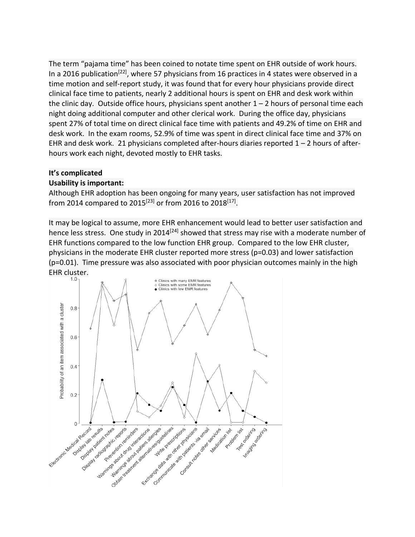The term "pajama time" has been coined to notate time spent on EHR outside of work hours. In a 2016 publication<sup>[22]</sup>, where 57 physicians from 16 practices in 4 states were observed in a time motion and self-report study, it was found that for every hour physicians provide direct clinical face time to patients, nearly 2 additional hours is spent on EHR and desk work within the clinic day. Outside office hours, physicians spent another  $1 - 2$  hours of personal time each night doing additional computer and other clerical work. During the office day, physicians spent 27% of total time on direct clinical face time with patients and 49.2% of time on EHR and desk work. In the exam rooms, 52.9% of time was spent in direct clinical face time and 37% on EHR and desk work. 21 physicians completed after-hours diaries reported  $1 - 2$  hours of afterhours work each night, devoted mostly to EHR tasks.

### **It's complicated**

#### **Usability is important:**

Although EHR adoption has been ongoing for many years, user satisfaction has not improved from 2014 compared to 2015<sup>[23]</sup> or from 2016 to 2018<sup>[17]</sup>.

It may be logical to assume, more EHR enhancement would lead to better user satisfaction and hence less stress. One study in 2014<sup>[24]</sup> showed that stress may rise with a moderate number of EHR functions compared to the low function EHR group. Compared to the low EHR cluster, physicians in the moderate EHR cluster reported more stress (p=0.03) and lower satisfaction (p=0.01). Time pressure was also associated with poor physician outcomes mainly in the high EHR cluster.

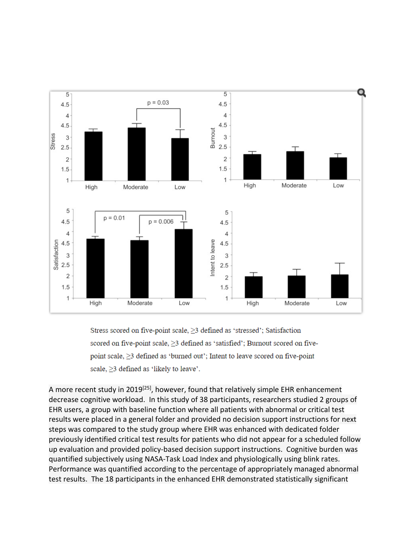

Stress scored on five-point scale, ≥3 defined as 'stressed'; Satisfaction scored on five-point scale,  $\geq$ 3 defined as 'satisfied'; Burnout scored on fivepoint scale,  $\geq$ 3 defined as 'burned out'; Intent to leave scored on five-point scale, ≥3 defined as 'likely to leave'.

A more recent study in 2019<sup>[25]</sup>, however, found that relatively simple EHR enhancement decrease cognitive workload. In this study of 38 participants, researchers studied 2 groups of EHR users, a group with baseline function where all patients with abnormal or critical test results were placed in a general folder and provided no decision support instructions for next steps was compared to the study group where EHR was enhanced with dedicated folder previously identified critical test results for patients who did not appear for a scheduled follow up evaluation and provided policy-based decision support instructions. Cognitive burden was quantified subjectively using NASA-Task Load Index and physiologically using blink rates. Performance was quantified according to the percentage of appropriately managed abnormal test results. The 18 participants in the enhanced EHR demonstrated statistically significant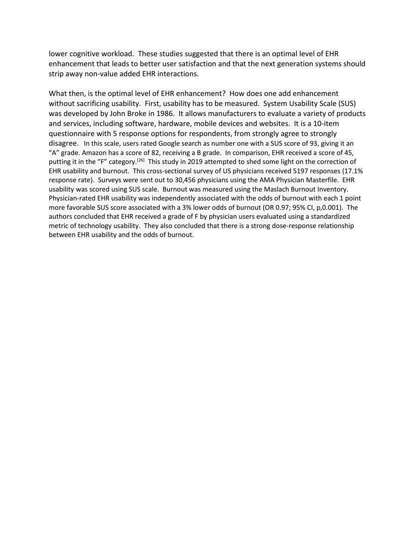lower cognitive workload. These studies suggested that there is an optimal level of EHR enhancement that leads to better user satisfaction and that the next generation systems should strip away non-value added EHR interactions.

What then, is the optimal level of EHR enhancement? How does one add enhancement without sacrificing usability. First, usability has to be measured. System Usability Scale (SUS) was developed by John Broke in 1986. It allows manufacturers to evaluate a variety of products and services, including software, hardware, mobile devices and websites. It is a 10-item questionnaire with 5 response options for respondents, from strongly agree to strongly disagree. In this scale, users rated Google search as number one with a SUS score of 93, giving it an "A" grade. Amazon has a score of 82, receiving a B grade. In comparison, EHR received a score of 45, putting it in the "F" category.<sup>[26]</sup> This study in 2019 attempted to shed some light on the correction of EHR usability and burnout. This cross-sectional survey of US physicians received 5197 responses (17.1% response rate). Surveys were sent out to 30,456 physicians using the AMA Physician Masterfile. EHR usability was scored using SUS scale. Burnout was measured using the Maslach Burnout Inventory. Physician-rated EHR usability was independently associated with the odds of burnout with each 1 point more favorable SUS score associated with a 3% lower odds of burnout (OR 0.97; 95% CI, p,0.001). The authors concluded that EHR received a grade of F by physician users evaluated using a standardized metric of technology usability. They also concluded that there is a strong dose-response relationship between EHR usability and the odds of burnout.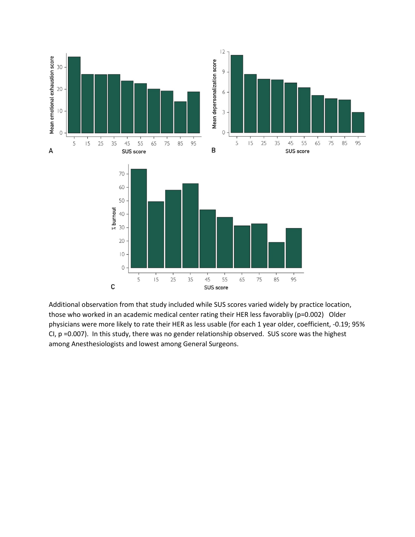

Additional observation from that study included while SUS scores varied widely by practice location, those who worked in an academic medical center rating their HER less favorabliy (p=0.002) Older physicians were more likely to rate their HER as less usable (for each 1 year older, coefficient, -0.19; 95% CI, p =0.007). In this study, there was no gender relationship observed. SUS score was the highest among Anesthesiologists and lowest among General Surgeons.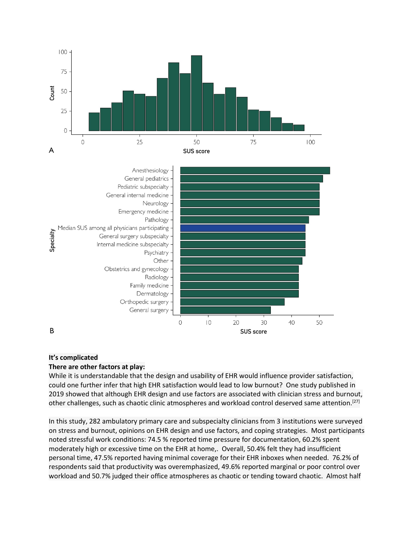

#### **It's complicated**

#### **There are other factors at play:**

While it is understandable that the design and usability of EHR would influence provider satisfaction, could one further infer that high EHR satisfaction would lead to low burnout? One study published in 2019 showed that although EHR design and use factors are associated with clinician stress and burnout, other challenges, such as chaotic clinic atmospheres and workload control deserved same attention.<sup>[27]</sup>

In this study, 282 ambulatory primary care and subspecialty clinicians from 3 institutions were surveyed on stress and burnout, opinions on EHR design and use factors, and coping strategies. Most participants noted stressful work conditions: 74.5 % reported time pressure for documentation, 60.2% spent moderately high or excessive time on the EHR at home,. Overall, 50.4% felt they had insufficient personal time, 47.5% reported having minimal coverage for their EHR inboxes when needed. 76.2% of respondents said that productivity was overemphasized, 49.6% reported marginal or poor control over workload and 50.7% judged their office atmospheres as chaotic or tending toward chaotic. Almost half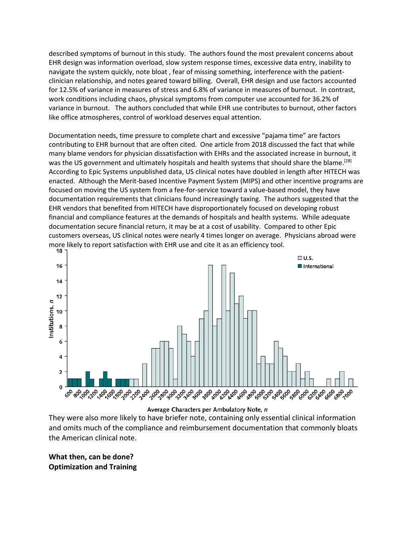described symptoms of burnout in this study. The authors found the most prevalent concerns about EHR design was information overload, slow system response times, excessive data entry, inability to navigate the system quickly, note bloat , fear of missing something, interference with the patientclinician relationship, and notes geared toward billing. Overall, EHR design and use factors accounted for 12.5% of variance in measures of stress and 6.8% of variance in measures of burnout. In contrast, work conditions including chaos, physical symptoms from computer use accounted for 36.2% of variance in burnout. The authors concluded that while EHR use contributes to burnout, other factors like office atmospheres, control of workload deserves equal attention.

Documentation needs, time pressure to complete chart and excessive "pajama time" are factors contributing to EHR burnout that are often cited. One article from 2018 discussed the fact that while many blame vendors for physician dissatisfaction with EHRs and the associated increase in burnout, it was the US government and ultimately hospitals and health systems that should share the blame.<sup>[28]</sup> According to Epic Systems unpublished data, US clinical notes have doubled in length after HITECH was enacted. Although the Merit-based Incentive Payment System (MIPS) and other incentive programs are focused on moving the US system from a fee-for-service toward a value-based model, they have documentation requirements that clinicians found increasingly taxing. The authors suggested that the EHR vendors that benefited from HITECH have disproportionately focused on developing robust financial and compliance features at the demands of hospitals and health systems. While adequate documentation secure financial return, it may be at a cost of usability. Compared to other Epic customers overseas, US clinical notes were nearly 4 times longer on average. Physicians abroad were more likely to report satisfaction with EHR use and cite it as an efficiency tool.<br>18  $\overline{1}$ 



Average Characters per Ambulatory Note, n

They were also more likely to have briefer note, containing only essential clinical information and omits much of the compliance and reimbursement documentation that commonly bloats the American clinical note.

**What then, can be done? Optimization and Training**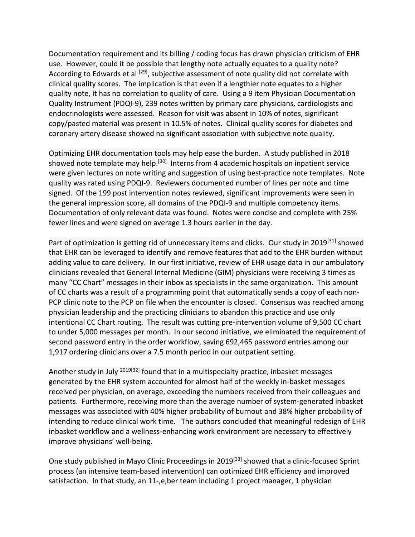Documentation requirement and its billing / coding focus has drawn physician criticism of EHR use. However, could it be possible that lengthy note actually equates to a quality note? According to Edwards et al <sup>[29]</sup>, subjective assessment of note quality did not correlate with clinical quality scores. The implication is that even if a lengthier note equates to a higher quality note, it has no correlation to quality of care. Using a 9 item Physician Documentation Quality Instrument (PDQI-9), 239 notes written by primary care physicians, cardiologists and endocrinologists were assessed. Reason for visit was absent in 10% of notes, significant copy/pasted material was present in 10.5% of notes. Clinical quality scores for diabetes and coronary artery disease showed no significant association with subjective note quality.

Optimizing EHR documentation tools may help ease the burden. A study published in 2018 showed note template may help.<sup>[30]</sup> Interns from 4 academic hospitals on inpatient service were given lectures on note writing and suggestion of using best-practice note templates. Note quality was rated using PDQI-9. Reviewers documented number of lines per note and time signed. Of the 199 post intervention notes reviewed, significant improvements were seen in the general impression score, all domains of the PDQI-9 and multiple competency items. Documentation of only relevant data was found. Notes were concise and complete with 25% fewer lines and were signed on average 1.3 hours earlier in the day.

Part of optimization is getting rid of unnecessary items and clicks. Our study in 2019<sup>[31]</sup> showed that EHR can be leveraged to identify and remove features that add to the EHR burden without adding value to care delivery. In our first initiative, review of EHR usage data in our ambulatory clinicians revealed that General Internal Medicine (GIM) physicians were receiving 3 times as many "CC Chart" messages in their inbox as specialists in the same organization. This amount of CC charts was a result of a programming point that automatically sends a copy of each non-PCP clinic note to the PCP on file when the encounter is closed. Consensus was reached among physician leadership and the practicing clinicians to abandon this practice and use only intentional CC Chart routing. The result was cutting pre-intervention volume of 9,500 CC chart to under 5,000 messages per month. In our second initiative, we eliminated the requirement of second password entry in the order workflow, saving 692,465 password entries among our 1,917 ordering clinicians over a 7.5 month period in our outpatient setting.

Another study in July <sup>2019[32]</sup> found that in a multispecialty practice, inbasket messages generated by the EHR system accounted for almost half of the weekly in-basket messages received per physician, on average, exceeding the numbers received from their colleagues and patients. Furthermore, receiving more than the average number of system-generated inbasket messages was associated with 40% higher probability of burnout and 38% higher probability of intending to reduce clinical work time. The authors concluded that meaningful redesign of EHR inbasket workflow and a wellness-enhancing work environment are necessary to effectively improve physicians' well-being.

One study published in Mayo Clinic Proceedings in 2019<sup>[33]</sup> showed that a clinic-focused Sprint process (an intensive team-based intervention) can optimized EHR efficiency and improved satisfaction. In that study, an 11-, e, ber team including 1 project manager, 1 physician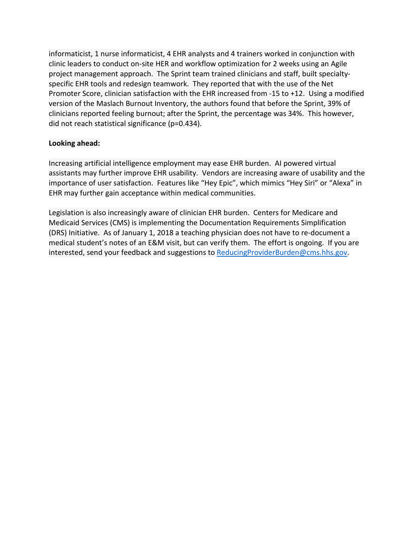informaticist, 1 nurse informaticist, 4 EHR analysts and 4 trainers worked in conjunction with clinic leaders to conduct on-site HER and workflow optimization for 2 weeks using an Agile project management approach. The Sprint team trained clinicians and staff, built specialtyspecific EHR tools and redesign teamwork. They reported that with the use of the Net Promoter Score, clinician satisfaction with the EHR increased from -15 to +12. Using a modified version of the Maslach Burnout Inventory, the authors found that before the Sprint, 39% of clinicians reported feeling burnout; after the Sprint, the percentage was 34%. This however, did not reach statistical significance (p=0.434).

### **Looking ahead:**

Increasing artificial intelligence employment may ease EHR burden. AI powered virtual assistants may further improve EHR usability. Vendors are increasing aware of usability and the importance of user satisfaction. Features like "Hey Epic", which mimics "Hey Siri" or "Alexa" in EHR may further gain acceptance within medical communities.

Legislation is also increasingly aware of clinician EHR burden. Centers for Medicare and Medicaid Services (CMS) is implementing the Documentation Requirements Simplification (DRS) Initiative. As of January 1, 2018 a teaching physician does not have to re-document a medical student's notes of an E&M visit, but can verify them. The effort is ongoing. If you are interested, send your feedback and suggestions to [ReducingProviderBurden@cms.hhs.gov.](mailto:ReducingProviderBurden@cms.hhs.gov)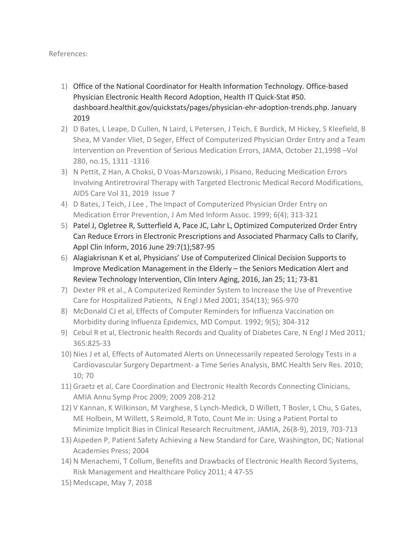### References:

- 1) Office of the National Coordinator for Health Information Technology. Office-based Physician Electronic Health Record Adoption, Health IT Quick-Stat #50. dashboard.healthit.gov/quickstats/pages/physician-ehr-adoption-trends.php. January 2019
- 2) D Bates, L Leape, D Cullen, N Laird, L Petersen, J Teich, E Burdick, M Hickey, S Kleefield, B Shea, M Vander Vliet, D Seger, Effect of Computerized Physician Order Entry and a Team Intervention on Prevention of Serious Medication Errors, JAMA, October 21,1998 –Vol 280, no.15, 1311 -1316
- 3) N Pettit, Z Han, A Choksi, D Voas-Marszowski, J Pisano, Reducing Medication Errors Involving Antiretroviral Therapy with Targeted Electronic Medical Record Modifications, AIDS Care Vol 31, 2019 Issue 7
- 4) D Bates, J Teich, J Lee , The Impact of Computerized Physician Order Entry on Medication Error Prevention, J Am Med Inform Assoc. 1999; 6(4); 313-321
- 5) Patel J, Ogletree R, Sutterfield A, Pace JC, Lahr L, Optimized Computerized Order Entry Can Reduce Errors in Electronic Prescriptions and Associated Pharmacy Calls to Clarify, Appl Clin Inform, 2016 June 29:7(1);587-95
- 6) Alagiakrisnan K et al, Physicians' Use of Computerized Clinical Decision Supports to Improve Medication Management in the Elderly – the Seniors Medication Alert and Review Technology Intervention, Clin Interv Aging, 2016, Jan 25; 11; 73-81
- 7) Dexter PR et al., A Computerized Reminder System to Increase the Use of Preventive Care for Hospitalized Patients, N Engl J Med 2001; 354(13); 965-970
- 8) McDonald CJ et al, Effects of Computer Reminders for Influenza Vaccination on Morbidity during Influenza Epidemics, MD Comput. 1992; 9(5); 304-312
- 9) Cebul R et al, Electronic health Records and Quality of Diabetes Care, N Engl J Med 2011; 365:825-33
- 10) Nies J et al, Effects of Automated Alerts on Unnecessarily repeated Serology Tests in a Cardiovascular Surgery Department- a Time Series Analysis, BMC Health Serv Res. 2010; 10; 70
- 11) Graetz et al, Care Coordination and Electronic Health Records Connecting Clinicians, AMIA Annu Symp Proc 2009; 2009 208-212
- 12) V Kannan, K Wilkinson, M Varghese, S Lynch-Medick, D Willett, T Bosler, L Chu, S Gates, ME Holbein, M Willett, S Reimold, R Toto, Count Me in: Using a Patient Portal to Minimize Implicit Bias in Clinical Research Recruitment, JAMIA, 26(8-9), 2019, 703-713
- 13) Aspeden P, Patient Safety Achieving a New Standard for Care, Washington, DC; National Academies Press; 2004
- 14) N Menachemi, T Collum, Benefits and Drawbacks of Electronic Health Record Systems, Risk Management and Healthcare Policy 2011; 4 47-55
- 15) Medscape, May 7, 2018